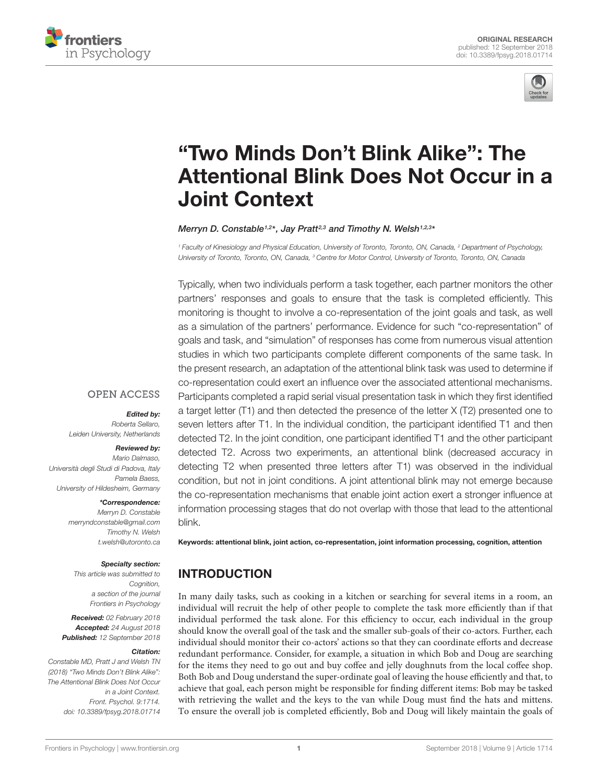



# "Two Minds Don't Blink Alike": The [Attentional Blink Does Not Occur in a](https://www.frontiersin.org/articles/10.3389/fpsyg.2018.01714/full) Joint Context

#### [Merryn D. Constable](http://loop.frontiersin.org/people/198455/overview)<sup>1,2\*</sup>, [Jay Pratt](http://loop.frontiersin.org/people/10742/overview)<sup>2,3</sup> and [Timothy N. Welsh](http://loop.frontiersin.org/people/436545/overview)<sup>1,2,3</sup>\*

<sup>1</sup> Faculty of Kinesiology and Physical Education, University of Toronto, Toronto, ON, Canada, <sup>2</sup> Department of Psychology, University of Toronto, Toronto, ON, Canada, <sup>3</sup> Centre for Motor Control, University of Toronto, Toronto, ON, Canada

Typically, when two individuals perform a task together, each partner monitors the other partners' responses and goals to ensure that the task is completed efficiently. This monitoring is thought to involve a co-representation of the joint goals and task, as well as a simulation of the partners' performance. Evidence for such "co-representation" of goals and task, and "simulation" of responses has come from numerous visual attention studies in which two participants complete different components of the same task. In the present research, an adaptation of the attentional blink task was used to determine if co-representation could exert an influence over the associated attentional mechanisms. Participants completed a rapid serial visual presentation task in which they first identified a target letter (T1) and then detected the presence of the letter X (T2) presented one to seven letters after T1. In the individual condition, the participant identified T1 and then detected T2. In the joint condition, one participant identified T1 and the other participant detected T2. Across two experiments, an attentional blink (decreased accuracy in detecting T2 when presented three letters after T1) was observed in the individual condition, but not in joint conditions. A joint attentional blink may not emerge because the co-representation mechanisms that enable joint action exert a stronger influence at information processing stages that do not overlap with those that lead to the attentional blink.

# Edited by:

**OPEN ACCESS** 

Roberta Sellaro, Leiden University, Netherlands

#### Reviewed by:

Mario Dalmaso, Università degli Studi di Padova, Italy Pamela Baess, University of Hildesheim, Germany

#### \*Correspondence:

Merryn D. Constable merryndconstable@gmail.com Timothy N. Welsh t.welsh@utoronto.ca

#### Specialty section:

This article was submitted to Cognition, a section of the journal Frontiers in Psychology

Received: 02 February 2018 Accepted: 24 August 2018 Published: 12 September 2018

#### Citation:

Constable MD, Pratt J and Welsh TN (2018) "Two Minds Don't Blink Alike": The Attentional Blink Does Not Occur in a Joint Context. Front. Psychol. 9:1714. doi: [10.3389/fpsyg.2018.01714](https://doi.org/10.3389/fpsyg.2018.01714)

Keywords: attentional blink, joint action, co-representation, joint information processing, cognition, attention

# **INTRODUCTION**

In many daily tasks, such as cooking in a kitchen or searching for several items in a room, an individual will recruit the help of other people to complete the task more efficiently than if that individual performed the task alone. For this efficiency to occur, each individual in the group should know the overall goal of the task and the smaller sub-goals of their co-actors. Further, each individual should monitor their co-actors' actions so that they can coordinate efforts and decrease redundant performance. Consider, for example, a situation in which Bob and Doug are searching for the items they need to go out and buy coffee and jelly doughnuts from the local coffee shop. Both Bob and Doug understand the super-ordinate goal of leaving the house efficiently and that, to achieve that goal, each person might be responsible for finding different items: Bob may be tasked with retrieving the wallet and the keys to the van while Doug must find the hats and mittens. To ensure the overall job is completed efficiently, Bob and Doug will likely maintain the goals of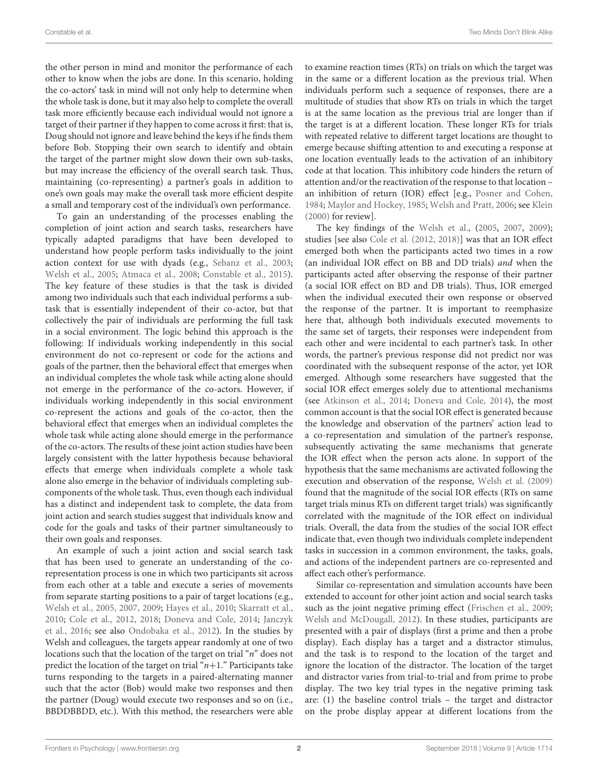the other person in mind and monitor the performance of each other to know when the jobs are done. In this scenario, holding the co-actors' task in mind will not only help to determine when the whole task is done, but it may also help to complete the overall task more efficiently because each individual would not ignore a target of their partner if they happen to come across it first: that is, Doug should not ignore and leave behind the keys if he finds them before Bob. Stopping their own search to identify and obtain the target of the partner might slow down their own sub-tasks, but may increase the efficiency of the overall search task. Thus, maintaining (co-representing) a partner's goals in addition to one's own goals may make the overall task more efficient despite a small and temporary cost of the individual's own performance.

To gain an understanding of the processes enabling the completion of joint action and search tasks, researchers have typically adapted paradigms that have been developed to understand how people perform tasks individually to the joint action context for use with dyads (e.g., [Sebanz et al.,](#page-10-0) [2003;](#page-10-0) [Welsh et al.,](#page-10-1) [2005;](#page-10-1) [Atmaca et al.,](#page-9-0) [2008;](#page-9-0) [Constable et al.,](#page-9-1) [2015\)](#page-9-1). The key feature of these studies is that the task is divided among two individuals such that each individual performs a subtask that is essentially independent of their co-actor, but that collectively the pair of individuals are performing the full task in a social environment. The logic behind this approach is the following: If individuals working independently in this social environment do not co-represent or code for the actions and goals of the partner, then the behavioral effect that emerges when an individual completes the whole task while acting alone should not emerge in the performance of the co-actors. However, if individuals working independently in this social environment co-represent the actions and goals of the co-actor, then the behavioral effect that emerges when an individual completes the whole task while acting alone should emerge in the performance of the co-actors. The results of these joint action studies have been largely consistent with the latter hypothesis because behavioral effects that emerge when individuals complete a whole task alone also emerge in the behavior of individuals completing subcomponents of the whole task. Thus, even though each individual has a distinct and independent task to complete, the data from joint action and search studies suggest that individuals know and code for the goals and tasks of their partner simultaneously to their own goals and responses.

An example of such a joint action and social search task that has been used to generate an understanding of the corepresentation process is one in which two participants sit across from each other at a table and execute a series of movements from separate starting positions to a pair of target locations (e.g., [Welsh et al.,](#page-10-1) [2005,](#page-10-1) [2007,](#page-10-2) [2009;](#page-10-3) [Hayes et al.,](#page-9-2) [2010;](#page-9-2) [Skarratt et al.,](#page-10-4) [2010;](#page-10-4) [Cole et al.,](#page-9-3) [2012,](#page-9-3) [2018;](#page-9-4) [Doneva and Cole,](#page-9-5) [2014;](#page-9-5) [Janczyk](#page-10-5) [et al.,](#page-10-5) [2016;](#page-10-5) see also [Ondobaka et al.,](#page-10-6) [2012\)](#page-10-6). In the studies by Welsh and colleagues, the targets appear randomly at one of two locations such that the location of the target on trial "*n*" does not predict the location of the target on trial " $n+1$ ." Participants take turns responding to the targets in a paired-alternating manner such that the actor (Bob) would make two responses and then the partner (Doug) would execute two responses and so on (i.e., BBDDBBDD, etc.). With this method, the researchers were able to examine reaction times (RTs) on trials on which the target was in the same or a different location as the previous trial. When individuals perform such a sequence of responses, there are a multitude of studies that show RTs on trials in which the target is at the same location as the previous trial are longer than if the target is at a different location. These longer RTs for trials with repeated relative to different target locations are thought to emerge because shifting attention to and executing a response at one location eventually leads to the activation of an inhibitory code at that location. This inhibitory code hinders the return of attention and/or the reactivation of the response to that location – an inhibition of return (IOR) effect [e.g., [Posner and Cohen,](#page-10-7) [1984;](#page-10-7) [Maylor and Hockey,](#page-10-8) [1985;](#page-10-8) [Welsh and Pratt,](#page-10-9) [2006;](#page-10-9) see [Klein](#page-10-10) [\(2000\)](#page-10-10) for review].

The key findings of the [Welsh et al.,](#page-10-1) [\(2005,](#page-10-1) [2007,](#page-10-2) [2009\)](#page-10-3); studies [see also [Cole et al.](#page-9-3) [\(2012,](#page-9-3) [2018\)](#page-9-4)] was that an IOR effect emerged both when the participants acted two times in a row (an individual IOR effect on BB and DD trials) and when the participants acted after observing the response of their partner (a social IOR effect on BD and DB trials). Thus, IOR emerged when the individual executed their own response or observed the response of the partner. It is important to reemphasize here that, although both individuals executed movements to the same set of targets, their responses were independent from each other and were incidental to each partner's task. In other words, the partner's previous response did not predict nor was coordinated with the subsequent response of the actor, yet IOR emerged. Although some researchers have suggested that the social IOR effect emerges solely due to attentional mechanisms (see [Atkinson et al.,](#page-9-6) [2014;](#page-9-6) [Doneva and Cole,](#page-9-5) [2014\)](#page-9-5), the most common account is that the social IOR effect is generated because the knowledge and observation of the partners' action lead to a co-representation and simulation of the partner's response, subsequently activating the same mechanisms that generate the IOR effect when the person acts alone. In support of the hypothesis that the same mechanisms are activated following the execution and observation of the response, [Welsh et al.](#page-10-3) [\(2009\)](#page-10-3) found that the magnitude of the social IOR effects (RTs on same target trials minus RTs on different target trials) was significantly correlated with the magnitude of the IOR effect on individual trials. Overall, the data from the studies of the social IOR effect indicate that, even though two individuals complete independent tasks in succession in a common environment, the tasks, goals, and actions of the independent partners are co-represented and affect each other's performance.

Similar co-representation and simulation accounts have been extended to account for other joint action and social search tasks such as the joint negative priming effect [\(Frischen et al.,](#page-9-7) [2009;](#page-9-7) [Welsh and McDougall,](#page-10-11) [2012\)](#page-10-11). In these studies, participants are presented with a pair of displays (first a prime and then a probe display). Each display has a target and a distractor stimulus, and the task is to respond to the location of the target and ignore the location of the distractor. The location of the target and distractor varies from trial-to-trial and from prime to probe display. The two key trial types in the negative priming task are: (1) the baseline control trials – the target and distractor on the probe display appear at different locations from the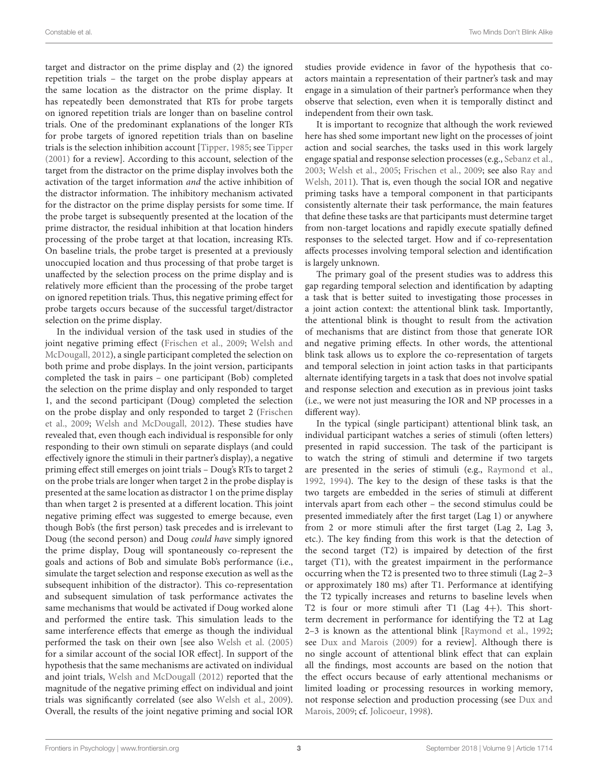target and distractor on the prime display and (2) the ignored repetition trials – the target on the probe display appears at the same location as the distractor on the prime display. It has repeatedly been demonstrated that RTs for probe targets on ignored repetition trials are longer than on baseline control trials. One of the predominant explanations of the longer RTs for probe targets of ignored repetition trials than on baseline trials is the selection inhibition account [\[Tipper,](#page-10-12) [1985;](#page-10-12) see [Tipper](#page-10-13) [\(2001\)](#page-10-13) for a review]. According to this account, selection of the target from the distractor on the prime display involves both the activation of the target information and the active inhibition of the distractor information. The inhibitory mechanism activated for the distractor on the prime display persists for some time. If the probe target is subsequently presented at the location of the prime distractor, the residual inhibition at that location hinders processing of the probe target at that location, increasing RTs. On baseline trials, the probe target is presented at a previously unoccupied location and thus processing of that probe target is unaffected by the selection process on the prime display and is relatively more efficient than the processing of the probe target on ignored repetition trials. Thus, this negative priming effect for probe targets occurs because of the successful target/distractor selection on the prime display.

In the individual version of the task used in studies of the joint negative priming effect [\(Frischen et al.,](#page-9-7) [2009;](#page-9-7) [Welsh and](#page-10-11) [McDougall,](#page-10-11) [2012\)](#page-10-11), a single participant completed the selection on both prime and probe displays. In the joint version, participants completed the task in pairs – one participant (Bob) completed the selection on the prime display and only responded to target 1, and the second participant (Doug) completed the selection on the probe display and only responded to target 2 [\(Frischen](#page-9-7) [et al.,](#page-9-7) [2009;](#page-9-7) [Welsh and McDougall,](#page-10-11) [2012\)](#page-10-11). These studies have revealed that, even though each individual is responsible for only responding to their own stimuli on separate displays (and could effectively ignore the stimuli in their partner's display), a negative priming effect still emerges on joint trials – Doug's RTs to target 2 on the probe trials are longer when target 2 in the probe display is presented at the same location as distractor 1 on the prime display than when target 2 is presented at a different location. This joint negative priming effect was suggested to emerge because, even though Bob's (the first person) task precedes and is irrelevant to Doug (the second person) and Doug could have simply ignored the prime display, Doug will spontaneously co-represent the goals and actions of Bob and simulate Bob's performance (i.e., simulate the target selection and response execution as well as the subsequent inhibition of the distractor). This co-representation and subsequent simulation of task performance activates the same mechanisms that would be activated if Doug worked alone and performed the entire task. This simulation leads to the same interference effects that emerge as though the individual performed the task on their own [see also [Welsh et al.](#page-10-1) [\(2005\)](#page-10-1) for a similar account of the social IOR effect]. In support of the hypothesis that the same mechanisms are activated on individual and joint trials, [Welsh and McDougall](#page-10-11) [\(2012\)](#page-10-11) reported that the magnitude of the negative priming effect on individual and joint trials was significantly correlated (see also [Welsh et al.,](#page-10-3) [2009\)](#page-10-3). Overall, the results of the joint negative priming and social IOR studies provide evidence in favor of the hypothesis that coactors maintain a representation of their partner's task and may engage in a simulation of their partner's performance when they observe that selection, even when it is temporally distinct and independent from their own task.

It is important to recognize that although the work reviewed here has shed some important new light on the processes of joint action and social searches, the tasks used in this work largely engage spatial and response selection processes (e.g., [Sebanz et al.,](#page-10-0) [2003;](#page-10-0) [Welsh et al.,](#page-10-1) [2005;](#page-10-1) [Frischen et al.,](#page-9-7) [2009;](#page-9-7) see also [Ray and](#page-10-14) [Welsh,](#page-10-14) [2011\)](#page-10-14). That is, even though the social IOR and negative priming tasks have a temporal component in that participants consistently alternate their task performance, the main features that define these tasks are that participants must determine target from non-target locations and rapidly execute spatially defined responses to the selected target. How and if co-representation affects processes involving temporal selection and identification is largely unknown.

The primary goal of the present studies was to address this gap regarding temporal selection and identification by adapting a task that is better suited to investigating those processes in a joint action context: the attentional blink task. Importantly, the attentional blink is thought to result from the activation of mechanisms that are distinct from those that generate IOR and negative priming effects. In other words, the attentional blink task allows us to explore the co-representation of targets and temporal selection in joint action tasks in that participants alternate identifying targets in a task that does not involve spatial and response selection and execution as in previous joint tasks (i.e., we were not just measuring the IOR and NP processes in a different way).

In the typical (single participant) attentional blink task, an individual participant watches a series of stimuli (often letters) presented in rapid succession. The task of the participant is to watch the string of stimuli and determine if two targets are presented in the series of stimuli (e.g., [Raymond et al.,](#page-10-15) [1992,](#page-10-15) [1994\)](#page-10-16). The key to the design of these tasks is that the two targets are embedded in the series of stimuli at different intervals apart from each other – the second stimulus could be presented immediately after the first target (Lag 1) or anywhere from 2 or more stimuli after the first target (Lag 2, Lag 3, etc.). The key finding from this work is that the detection of the second target (T2) is impaired by detection of the first target (T1), with the greatest impairment in the performance occurring when the T2 is presented two to three stimuli (Lag 2–3 or approximately 180 ms) after T1. Performance at identifying the T2 typically increases and returns to baseline levels when T2 is four or more stimuli after T1 (Lag 4+). This shortterm decrement in performance for identifying the T2 at Lag 2–3 is known as the attentional blink [\[Raymond et al.,](#page-10-15) [1992;](#page-10-15) see [Dux and Marois](#page-9-8) [\(2009\)](#page-9-8) for a review]. Although there is no single account of attentional blink effect that can explain all the findings, most accounts are based on the notion that the effect occurs because of early attentional mechanisms or limited loading or processing resources in working memory, not response selection and production processing (see [Dux and](#page-9-8) [Marois,](#page-9-8) [2009;](#page-9-8) cf. [Jolicoeur,](#page-10-17) [1998\)](#page-10-17).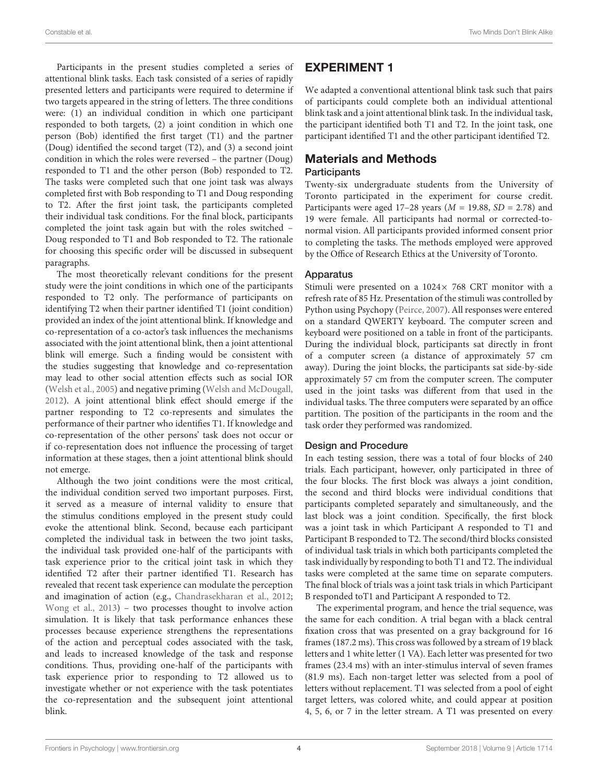Participants in the present studies completed a series of attentional blink tasks. Each task consisted of a series of rapidly presented letters and participants were required to determine if two targets appeared in the string of letters. The three conditions were: (1) an individual condition in which one participant responded to both targets, (2) a joint condition in which one person (Bob) identified the first target (T1) and the partner (Doug) identified the second target (T2), and (3) a second joint condition in which the roles were reversed – the partner (Doug) responded to T1 and the other person (Bob) responded to T2. The tasks were completed such that one joint task was always completed first with Bob responding to T1 and Doug responding to T2. After the first joint task, the participants completed their individual task conditions. For the final block, participants completed the joint task again but with the roles switched – Doug responded to T1 and Bob responded to T2. The rationale for choosing this specific order will be discussed in subsequent paragraphs.

The most theoretically relevant conditions for the present study were the joint conditions in which one of the participants responded to T2 only. The performance of participants on identifying T2 when their partner identified T1 (joint condition) provided an index of the joint attentional blink. If knowledge and co-representation of a co-actor's task influences the mechanisms associated with the joint attentional blink, then a joint attentional blink will emerge. Such a finding would be consistent with the studies suggesting that knowledge and co-representation may lead to other social attention effects such as social IOR [\(Welsh et al.,](#page-10-1) [2005\)](#page-10-1) and negative priming [\(Welsh and McDougall,](#page-10-11) [2012\)](#page-10-11). A joint attentional blink effect should emerge if the partner responding to T2 co-represents and simulates the performance of their partner who identifies T1. If knowledge and co-representation of the other persons' task does not occur or if co-representation does not influence the processing of target information at these stages, then a joint attentional blink should not emerge.

Although the two joint conditions were the most critical, the individual condition served two important purposes. First, it served as a measure of internal validity to ensure that the stimulus conditions employed in the present study could evoke the attentional blink. Second, because each participant completed the individual task in between the two joint tasks, the individual task provided one-half of the participants with task experience prior to the critical joint task in which they identified T2 after their partner identified T1. Research has revealed that recent task experience can modulate the perception and imagination of action (e.g., [Chandrasekharan et al.,](#page-9-9) [2012;](#page-9-9) [Wong et al.,](#page-10-18) [2013\)](#page-10-18) – two processes thought to involve action simulation. It is likely that task performance enhances these processes because experience strengthens the representations of the action and perceptual codes associated with the task, and leads to increased knowledge of the task and response conditions. Thus, providing one-half of the participants with task experience prior to responding to T2 allowed us to investigate whether or not experience with the task potentiates the co-representation and the subsequent joint attentional blink.

# EXPERIMENT 1

We adapted a conventional attentional blink task such that pairs of participants could complete both an individual attentional blink task and a joint attentional blink task. In the individual task, the participant identified both T1 and T2. In the joint task, one participant identified T1 and the other participant identified T2.

# Materials and Methods

#### **Participants**

Twenty-six undergraduate students from the University of Toronto participated in the experiment for course credit. Participants were aged 17–28 years ( $M = 19.88$ ,  $SD = 2.78$ ) and 19 were female. All participants had normal or corrected-tonormal vision. All participants provided informed consent prior to completing the tasks. The methods employed were approved by the Office of Research Ethics at the University of Toronto.

#### Apparatus

Stimuli were presented on a  $1024 \times 768$  CRT monitor with a refresh rate of 85 Hz. Presentation of the stimuli was controlled by Python using Psychopy [\(Peirce,](#page-10-19) [2007\)](#page-10-19). All responses were entered on a standard QWERTY keyboard. The computer screen and keyboard were positioned on a table in front of the participants. During the individual block, participants sat directly in front of a computer screen (a distance of approximately 57 cm away). During the joint blocks, the participants sat side-by-side approximately 57 cm from the computer screen. The computer used in the joint tasks was different from that used in the individual tasks. The three computers were separated by an office partition. The position of the participants in the room and the task order they performed was randomized.

## Design and Procedure

In each testing session, there was a total of four blocks of 240 trials. Each participant, however, only participated in three of the four blocks. The first block was always a joint condition, the second and third blocks were individual conditions that participants completed separately and simultaneously, and the last block was a joint condition. Specifically, the first block was a joint task in which Participant A responded to T1 and Participant B responded to T2. The second/third blocks consisted of individual task trials in which both participants completed the task individually by responding to both T1 and T2. The individual tasks were completed at the same time on separate computers. The final block of trials was a joint task trials in which Participant B responded toT1 and Participant A responded to T2.

The experimental program, and hence the trial sequence, was the same for each condition. A trial began with a black central fixation cross that was presented on a gray background for 16 frames (187.2 ms). This cross was followed by a stream of 19 black letters and 1 white letter (1 VA). Each letter was presented for two frames (23.4 ms) with an inter-stimulus interval of seven frames (81.9 ms). Each non-target letter was selected from a pool of letters without replacement. T1 was selected from a pool of eight target letters, was colored white, and could appear at position 4, 5, 6, or 7 in the letter stream. A T1 was presented on every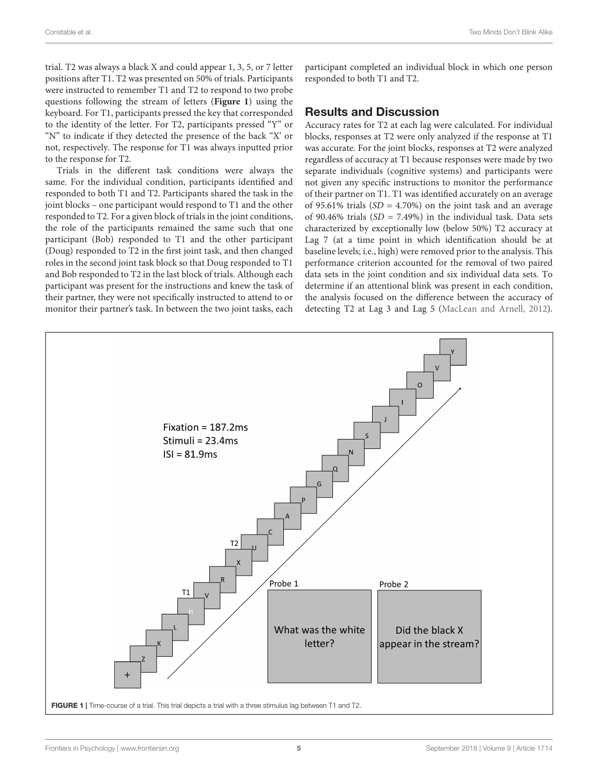trial. T2 was always a black X and could appear 1, 3, 5, or 7 letter positions after T1. T2 was presented on 50% of trials. Participants were instructed to remember T1 and T2 to respond to two probe questions following the stream of letters (**[Figure 1](#page-4-0)**) using the keyboard. For T1, participants pressed the key that corresponded to the identity of the letter. For T2, participants pressed "Y" or "N" to indicate if they detected the presence of the back "X' or not, respectively. The response for T1 was always inputted prior to the response for T2.

Trials in the different task conditions were always the same. For the individual condition, participants identified and responded to both T1 and T2. Participants shared the task in the joint blocks – one participant would respond to T1 and the other responded to T2. For a given block of trials in the joint conditions, the role of the participants remained the same such that one participant (Bob) responded to T1 and the other participant (Doug) responded to T2 in the first joint task, and then changed roles in the second joint task block so that Doug responded to T1 and Bob responded to T2 in the last block of trials. Although each participant was present for the instructions and knew the task of their partner, they were not specifically instructed to attend to or monitor their partner's task. In between the two joint tasks, each

participant completed an individual block in which one person responded to both T1 and T2.

## Results and Discussion

Accuracy rates for T2 at each lag were calculated. For individual blocks, responses at T2 were only analyzed if the response at T1 was accurate. For the joint blocks, responses at T2 were analyzed regardless of accuracy at T1 because responses were made by two separate individuals (cognitive systems) and participants were not given any specific instructions to monitor the performance of their partner on T1. T1 was identified accurately on an average of 95.61% trials  $(SD = 4.70\%)$  on the joint task and an average of 90.46% trials  $(SD = 7.49\%)$  in the individual task. Data sets characterized by exceptionally low (below 50%) T2 accuracy at Lag 7 (at a time point in which identification should be at baseline levels; i.e., high) were removed prior to the analysis. This performance criterion accounted for the removal of two paired data sets in the joint condition and six individual data sets. To determine if an attentional blink was present in each condition, the analysis focused on the difference between the accuracy of detecting T2 at Lag 3 and Lag 5 [\(MacLean and Arnell,](#page-10-20) [2012\)](#page-10-20).

<span id="page-4-0"></span>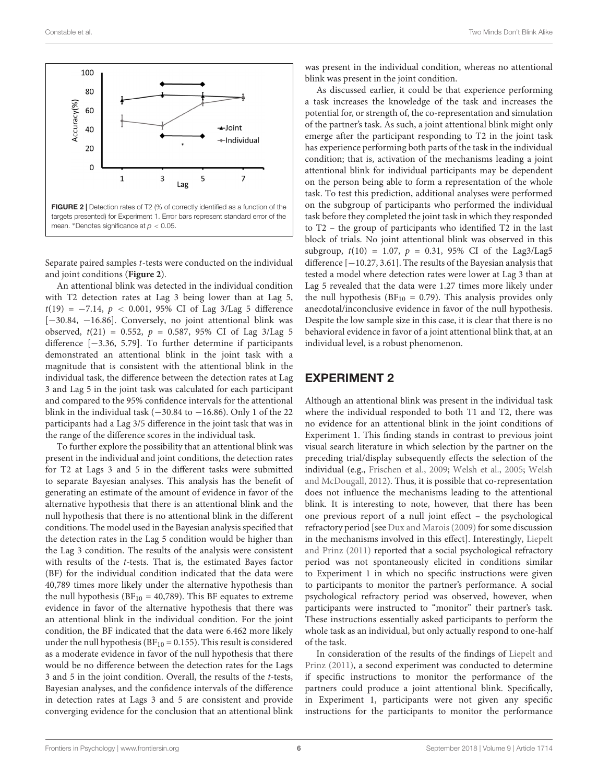

<span id="page-5-0"></span>Separate paired samples t-tests were conducted on the individual and joint conditions (**[Figure 2](#page-5-0)**).

An attentional blink was detected in the individual condition with T2 detection rates at Lag 3 being lower than at Lag 5, t(19) = −7.14, p < 0.001, 95% CI of Lag 3/Lag 5 difference [−30.84, −16.86]. Conversely, no joint attentional blink was observed,  $t(21) = 0.552$ ,  $p = 0.587$ , 95% CI of Lag 3/Lag 5 difference [−3.36, 5.79]. To further determine if participants demonstrated an attentional blink in the joint task with a magnitude that is consistent with the attentional blink in the individual task, the difference between the detection rates at Lag 3 and Lag 5 in the joint task was calculated for each participant and compared to the 95% confidence intervals for the attentional blink in the individual task ( $-30.84$  to  $-16.86$ ). Only 1 of the 22 participants had a Lag 3/5 difference in the joint task that was in the range of the difference scores in the individual task.

To further explore the possibility that an attentional blink was present in the individual and joint conditions, the detection rates for T2 at Lags 3 and 5 in the different tasks were submitted to separate Bayesian analyses. This analysis has the benefit of generating an estimate of the amount of evidence in favor of the alternative hypothesis that there is an attentional blink and the null hypothesis that there is no attentional blink in the different conditions. The model used in the Bayesian analysis specified that the detection rates in the Lag 5 condition would be higher than the Lag 3 condition. The results of the analysis were consistent with results of the t-tests. That is, the estimated Bayes factor (BF) for the individual condition indicated that the data were 40,789 times more likely under the alternative hypothesis than the null hypothesis ( $BF_{10} = 40,789$ ). This BF equates to extreme evidence in favor of the alternative hypothesis that there was an attentional blink in the individual condition. For the joint condition, the BF indicated that the data were 6.462 more likely under the null hypothesis ( $BF_{10} = 0.155$ ). This result is considered as a moderate evidence in favor of the null hypothesis that there would be no difference between the detection rates for the Lags 3 and 5 in the joint condition. Overall, the results of the t-tests, Bayesian analyses, and the confidence intervals of the difference in detection rates at Lags 3 and 5 are consistent and provide converging evidence for the conclusion that an attentional blink

was present in the individual condition, whereas no attentional blink was present in the joint condition.

As discussed earlier, it could be that experience performing a task increases the knowledge of the task and increases the potential for, or strength of, the co-representation and simulation of the partner's task. As such, a joint attentional blink might only emerge after the participant responding to T2 in the joint task has experience performing both parts of the task in the individual condition; that is, activation of the mechanisms leading a joint attentional blink for individual participants may be dependent on the person being able to form a representation of the whole task. To test this prediction, additional analyses were performed on the subgroup of participants who performed the individual task before they completed the joint task in which they responded to T2 – the group of participants who identified T2 in the last block of trials. No joint attentional blink was observed in this subgroup,  $t(10) = 1.07$ ,  $p = 0.31$ , 95% CI of the Lag3/Lag5 difference [−10.27, 3.61]. The results of the Bayesian analysis that tested a model where detection rates were lower at Lag 3 than at Lag 5 revealed that the data were 1.27 times more likely under the null hypothesis ( $BF_{10} = 0.79$ ). This analysis provides only anecdotal/inconclusive evidence in favor of the null hypothesis. Despite the low sample size in this case, it is clear that there is no behavioral evidence in favor of a joint attentional blink that, at an individual level, is a robust phenomenon.

## EXPERIMENT 2

Although an attentional blink was present in the individual task where the individual responded to both T1 and T2, there was no evidence for an attentional blink in the joint conditions of Experiment 1. This finding stands in contrast to previous joint visual search literature in which selection by the partner on the preceding trial/display subsequently effects the selection of the individual (e.g., [Frischen et al.,](#page-9-7) [2009;](#page-9-7) [Welsh et al.,](#page-10-1) [2005;](#page-10-1) [Welsh](#page-10-11) [and McDougall,](#page-10-11) [2012\)](#page-10-11). Thus, it is possible that co-representation does not influence the mechanisms leading to the attentional blink. It is interesting to note, however, that there has been one previous report of a null joint effect – the psychological refractory period [see [Dux and Marois\(2009\)](#page-9-8) for some discussion in the mechanisms involved in this effect]. Interestingly, [Liepelt](#page-10-21) [and Prinz](#page-10-21) [\(2011\)](#page-10-21) reported that a social psychological refractory period was not spontaneously elicited in conditions similar to Experiment 1 in which no specific instructions were given to participants to monitor the partner's performance. A social psychological refractory period was observed, however, when participants were instructed to "monitor" their partner's task. These instructions essentially asked participants to perform the whole task as an individual, but only actually respond to one-half of the task.

In consideration of the results of the findings of [Liepelt and](#page-10-21) [Prinz](#page-10-21) [\(2011\)](#page-10-21), a second experiment was conducted to determine if specific instructions to monitor the performance of the partners could produce a joint attentional blink. Specifically, in Experiment 1, participants were not given any specific instructions for the participants to monitor the performance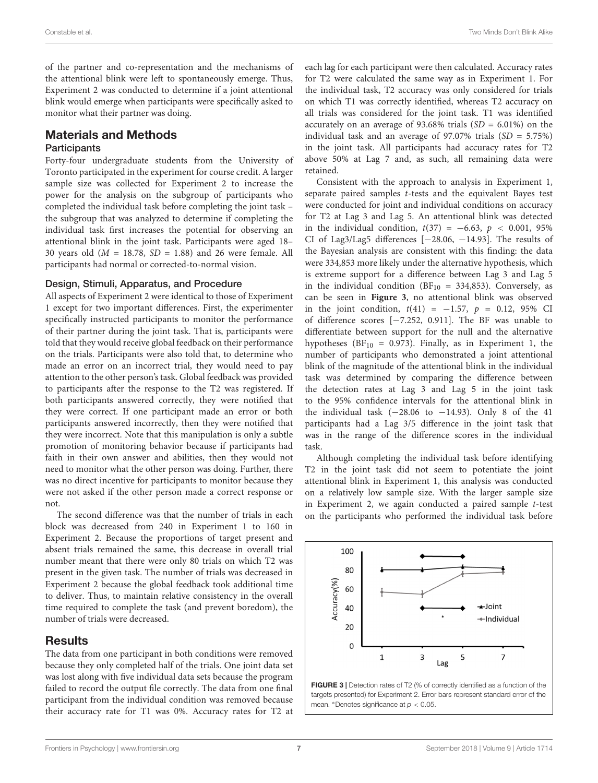of the partner and co-representation and the mechanisms of the attentional blink were left to spontaneously emerge. Thus, Experiment 2 was conducted to determine if a joint attentional blink would emerge when participants were specifically asked to monitor what their partner was doing.

## Materials and Methods

#### **Participants**

Forty-four undergraduate students from the University of Toronto participated in the experiment for course credit. A larger sample size was collected for Experiment 2 to increase the power for the analysis on the subgroup of participants who completed the individual task before completing the joint task – the subgroup that was analyzed to determine if completing the individual task first increases the potential for observing an attentional blink in the joint task. Participants were aged 18– 30 years old  $(M = 18.78, SD = 1.88)$  and 26 were female. All participants had normal or corrected-to-normal vision.

#### Design, Stimuli, Apparatus, and Procedure

All aspects of Experiment 2 were identical to those of Experiment 1 except for two important differences. First, the experimenter specifically instructed participants to monitor the performance of their partner during the joint task. That is, participants were told that they would receive global feedback on their performance on the trials. Participants were also told that, to determine who made an error on an incorrect trial, they would need to pay attention to the other person's task. Global feedback was provided to participants after the response to the T2 was registered. If both participants answered correctly, they were notified that they were correct. If one participant made an error or both participants answered incorrectly, then they were notified that they were incorrect. Note that this manipulation is only a subtle promotion of monitoring behavior because if participants had faith in their own answer and abilities, then they would not need to monitor what the other person was doing. Further, there was no direct incentive for participants to monitor because they were not asked if the other person made a correct response or not.

The second difference was that the number of trials in each block was decreased from 240 in Experiment 1 to 160 in Experiment 2. Because the proportions of target present and absent trials remained the same, this decrease in overall trial number meant that there were only 80 trials on which T2 was present in the given task. The number of trials was decreased in Experiment 2 because the global feedback took additional time to deliver. Thus, to maintain relative consistency in the overall time required to complete the task (and prevent boredom), the number of trials were decreased.

## **Results**

The data from one participant in both conditions were removed because they only completed half of the trials. One joint data set was lost along with five individual data sets because the program failed to record the output file correctly. The data from one final participant from the individual condition was removed because their accuracy rate for T1 was 0%. Accuracy rates for T2 at

each lag for each participant were then calculated. Accuracy rates for T2 were calculated the same way as in Experiment 1. For the individual task, T2 accuracy was only considered for trials on which T1 was correctly identified, whereas T2 accuracy on all trials was considered for the joint task. T1 was identified accurately on an average of 93.68% trials  $(SD = 6.01\%)$  on the individual task and an average of 97.07% trials  $(SD = 5.75%)$ in the joint task. All participants had accuracy rates for T2 above 50% at Lag 7 and, as such, all remaining data were retained.

Consistent with the approach to analysis in Experiment 1, separate paired samples t-tests and the equivalent Bayes test were conducted for joint and individual conditions on accuracy for T2 at Lag 3 and Lag 5. An attentional blink was detected in the individual condition,  $t(37) = -6.63$ ,  $p < 0.001$ , 95% CI of Lag3/Lag5 differences [−28.06, −14.93]. The results of the Bayesian analysis are consistent with this finding: the data were 334,853 more likely under the alternative hypothesis, which is extreme support for a difference between Lag 3 and Lag 5 in the individual condition ( $BF_{10} = 334,853$ ). Conversely, as can be seen in **[Figure 3](#page-6-0)**, no attentional blink was observed in the joint condition,  $t(41) = -1.57$ ,  $p = 0.12$ , 95% CI of difference scores [−7.252, 0.911]. The BF was unable to differentiate between support for the null and the alternative hypotheses ( $BF_{10} = 0.973$ ). Finally, as in Experiment 1, the number of participants who demonstrated a joint attentional blink of the magnitude of the attentional blink in the individual task was determined by comparing the difference between the detection rates at Lag 3 and Lag 5 in the joint task to the 95% confidence intervals for the attentional blink in the individual task  $(-28.06 \text{ to } -14.93)$ . Only 8 of the 41 participants had a Lag 3/5 difference in the joint task that was in the range of the difference scores in the individual task.

Although completing the individual task before identifying T2 in the joint task did not seem to potentiate the joint attentional blink in Experiment 1, this analysis was conducted on a relatively low sample size. With the larger sample size in Experiment 2, we again conducted a paired sample t-test on the participants who performed the individual task before



<span id="page-6-0"></span>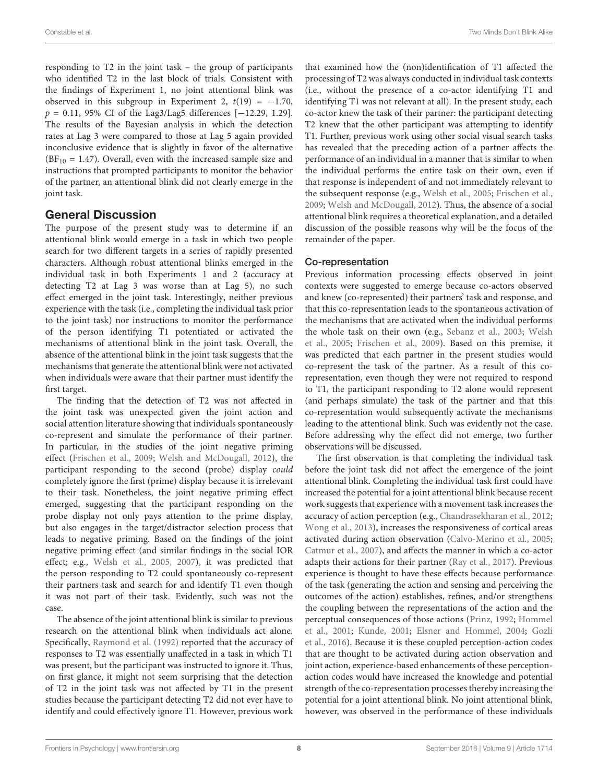responding to T2 in the joint task – the group of participants who identified T2 in the last block of trials. Consistent with the findings of Experiment 1, no joint attentional blink was observed in this subgroup in Experiment 2,  $t(19) = -1.70$ , p = 0.11, 95% CI of the Lag3/Lag5 differences [−12.29, 1.29]. The results of the Bayesian analysis in which the detection rates at Lag 3 were compared to those at Lag 5 again provided inconclusive evidence that is slightly in favor of the alternative  $(BF_{10} = 1.47)$ . Overall, even with the increased sample size and instructions that prompted participants to monitor the behavior of the partner, an attentional blink did not clearly emerge in the joint task.

## General Discussion

The purpose of the present study was to determine if an attentional blink would emerge in a task in which two people search for two different targets in a series of rapidly presented characters. Although robust attentional blinks emerged in the individual task in both Experiments 1 and 2 (accuracy at detecting T2 at Lag 3 was worse than at Lag 5), no such effect emerged in the joint task. Interestingly, neither previous experience with the task (i.e., completing the individual task prior to the joint task) nor instructions to monitor the performance of the person identifying T1 potentiated or activated the mechanisms of attentional blink in the joint task. Overall, the absence of the attentional blink in the joint task suggests that the mechanisms that generate the attentional blink were not activated when individuals were aware that their partner must identify the first target.

The finding that the detection of T2 was not affected in the joint task was unexpected given the joint action and social attention literature showing that individuals spontaneously co-represent and simulate the performance of their partner. In particular, in the studies of the joint negative priming effect [\(Frischen et al.,](#page-9-7) [2009;](#page-9-7) [Welsh and McDougall,](#page-10-11) [2012\)](#page-10-11), the participant responding to the second (probe) display could completely ignore the first (prime) display because it is irrelevant to their task. Nonetheless, the joint negative priming effect emerged, suggesting that the participant responding on the probe display not only pays attention to the prime display, but also engages in the target/distractor selection process that leads to negative priming. Based on the findings of the joint negative priming effect (and similar findings in the social IOR effect; e.g., [Welsh et al.,](#page-10-1) [2005,](#page-10-1) [2007\)](#page-10-2), it was predicted that the person responding to T2 could spontaneously co-represent their partners task and search for and identify T1 even though it was not part of their task. Evidently, such was not the case.

The absence of the joint attentional blink is similar to previous research on the attentional blink when individuals act alone. Specifically, [Raymond et al.](#page-10-15) [\(1992\)](#page-10-15) reported that the accuracy of responses to T2 was essentially unaffected in a task in which T1 was present, but the participant was instructed to ignore it. Thus, on first glance, it might not seem surprising that the detection of T2 in the joint task was not affected by T1 in the present studies because the participant detecting T2 did not ever have to identify and could effectively ignore T1. However, previous work

that examined how the (non)identification of T1 affected the processing of T2 was always conducted in individual task contexts (i.e., without the presence of a co-actor identifying T1 and identifying T1 was not relevant at all). In the present study, each co-actor knew the task of their partner: the participant detecting T2 knew that the other participant was attempting to identify T1. Further, previous work using other social visual search tasks has revealed that the preceding action of a partner affects the performance of an individual in a manner that is similar to when the individual performs the entire task on their own, even if that response is independent of and not immediately relevant to the subsequent response (e.g., [Welsh et al.,](#page-10-1) [2005;](#page-10-1) [Frischen et al.,](#page-9-7) [2009;](#page-9-7) [Welsh and McDougall,](#page-10-11) [2012\)](#page-10-11). Thus, the absence of a social attentional blink requires a theoretical explanation, and a detailed discussion of the possible reasons why will be the focus of the remainder of the paper.

## Co-representation

Previous information processing effects observed in joint contexts were suggested to emerge because co-actors observed and knew (co-represented) their partners' task and response, and that this co-representation leads to the spontaneous activation of the mechanisms that are activated when the individual performs the whole task on their own (e.g., [Sebanz et al.,](#page-10-0) [2003;](#page-10-0) [Welsh](#page-10-1) [et al.,](#page-10-1) [2005;](#page-10-1) [Frischen et al.,](#page-9-7) [2009\)](#page-9-7). Based on this premise, it was predicted that each partner in the present studies would co-represent the task of the partner. As a result of this corepresentation, even though they were not required to respond to T1, the participant responding to T2 alone would represent (and perhaps simulate) the task of the partner and that this co-representation would subsequently activate the mechanisms leading to the attentional blink. Such was evidently not the case. Before addressing why the effect did not emerge, two further observations will be discussed.

The first observation is that completing the individual task before the joint task did not affect the emergence of the joint attentional blink. Completing the individual task first could have increased the potential for a joint attentional blink because recent work suggests that experience with a movement task increases the accuracy of action perception (e.g., [Chandrasekharan et al.,](#page-9-9) [2012;](#page-9-9) [Wong et al.,](#page-10-18) [2013\)](#page-10-18), increases the responsiveness of cortical areas activated during action observation [\(Calvo-Merino et al.,](#page-9-10) [2005;](#page-9-10) [Catmur et al.,](#page-9-11) [2007\)](#page-9-11), and affects the manner in which a co-actor adapts their actions for their partner [\(Ray et al.,](#page-10-22) [2017\)](#page-10-22). Previous experience is thought to have these effects because performance of the task (generating the action and sensing and perceiving the outcomes of the action) establishes, refines, and/or strengthens the coupling between the representations of the action and the perceptual consequences of those actions [\(Prinz,](#page-10-23) [1992;](#page-10-23) [Hommel](#page-10-24) [et al.,](#page-10-24) [2001;](#page-10-24) [Kunde,](#page-10-25) [2001;](#page-10-25) [Elsner and Hommel,](#page-9-12) [2004;](#page-9-12) [Gozli](#page-9-13) [et al.,](#page-9-13) [2016\)](#page-9-13). Because it is these coupled perception-action codes that are thought to be activated during action observation and joint action, experience-based enhancements of these perceptionaction codes would have increased the knowledge and potential strength of the co-representation processes thereby increasing the potential for a joint attentional blink. No joint attentional blink, however, was observed in the performance of these individuals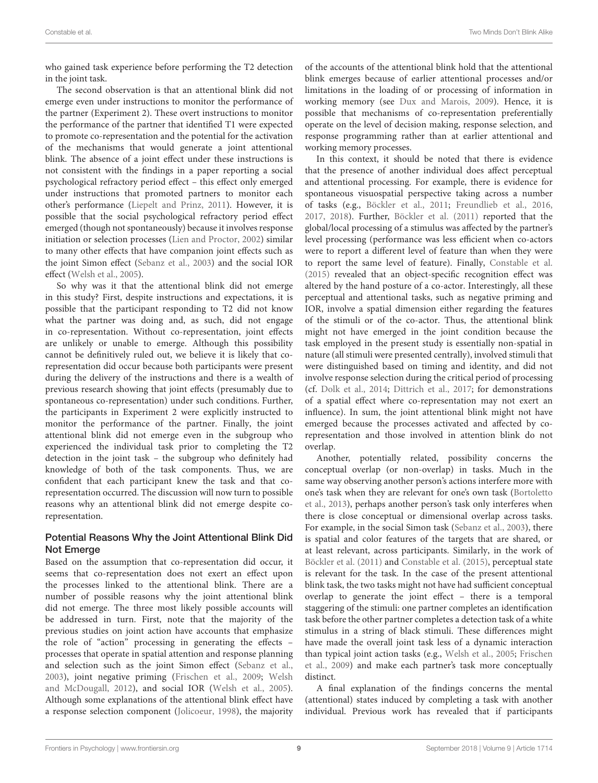who gained task experience before performing the T2 detection in the joint task.

The second observation is that an attentional blink did not emerge even under instructions to monitor the performance of the partner (Experiment 2). These overt instructions to monitor the performance of the partner that identified T1 were expected to promote co-representation and the potential for the activation of the mechanisms that would generate a joint attentional blink. The absence of a joint effect under these instructions is not consistent with the findings in a paper reporting a social psychological refractory period effect – this effect only emerged under instructions that promoted partners to monitor each other's performance [\(Liepelt and Prinz,](#page-10-21) [2011\)](#page-10-21). However, it is possible that the social psychological refractory period effect emerged (though not spontaneously) because it involves response initiation or selection processes [\(Lien and Proctor,](#page-10-26) [2002\)](#page-10-26) similar to many other effects that have companion joint effects such as the joint Simon effect [\(Sebanz et al.,](#page-10-0) [2003\)](#page-10-0) and the social IOR effect [\(Welsh et al.,](#page-10-1) [2005\)](#page-10-1).

So why was it that the attentional blink did not emerge in this study? First, despite instructions and expectations, it is possible that the participant responding to T2 did not know what the partner was doing and, as such, did not engage in co-representation. Without co-representation, joint effects are unlikely or unable to emerge. Although this possibility cannot be definitively ruled out, we believe it is likely that corepresentation did occur because both participants were present during the delivery of the instructions and there is a wealth of previous research showing that joint effects (presumably due to spontaneous co-representation) under such conditions. Further, the participants in Experiment 2 were explicitly instructed to monitor the performance of the partner. Finally, the joint attentional blink did not emerge even in the subgroup who experienced the individual task prior to completing the T2 detection in the joint task – the subgroup who definitely had knowledge of both of the task components. Thus, we are confident that each participant knew the task and that corepresentation occurred. The discussion will now turn to possible reasons why an attentional blink did not emerge despite corepresentation.

#### Potential Reasons Why the Joint Attentional Blink Did Not Emerge

Based on the assumption that co-representation did occur, it seems that co-representation does not exert an effect upon the processes linked to the attentional blink. There are a number of possible reasons why the joint attentional blink did not emerge. The three most likely possible accounts will be addressed in turn. First, note that the majority of the previous studies on joint action have accounts that emphasize the role of "action" processing in generating the effects – processes that operate in spatial attention and response planning and selection such as the joint Simon effect [\(Sebanz et al.,](#page-10-0) [2003\)](#page-10-0), joint negative priming [\(Frischen et al.,](#page-9-7) [2009;](#page-9-7) [Welsh](#page-10-11) [and McDougall,](#page-10-11) [2012\)](#page-10-11), and social IOR [\(Welsh et al.,](#page-10-1) [2005\)](#page-10-1). Although some explanations of the attentional blink effect have a response selection component [\(Jolicoeur,](#page-10-17) [1998\)](#page-10-17), the majority of the accounts of the attentional blink hold that the attentional blink emerges because of earlier attentional processes and/or limitations in the loading of or processing of information in working memory (see [Dux and Marois,](#page-9-8) [2009\)](#page-9-8). Hence, it is possible that mechanisms of co-representation preferentially operate on the level of decision making, response selection, and response programming rather than at earlier attentional and working memory processes.

In this context, it should be noted that there is evidence that the presence of another individual does affect perceptual and attentional processing. For example, there is evidence for spontaneous visuospatial perspective taking across a number of tasks (e.g., [Böckler et al.,](#page-9-14) [2011;](#page-9-14) [Freundlieb et al.,](#page-9-15) [2016,](#page-9-15) [2017,](#page-9-16) [2018\)](#page-9-17). Further, [Böckler et al.](#page-9-14) [\(2011\)](#page-9-14) reported that the global/local processing of a stimulus was affected by the partner's level processing (performance was less efficient when co-actors were to report a different level of feature than when they were to report the same level of feature). Finally, [Constable et al.](#page-9-1) [\(2015\)](#page-9-1) revealed that an object-specific recognition effect was altered by the hand posture of a co-actor. Interestingly, all these perceptual and attentional tasks, such as negative priming and IOR, involve a spatial dimension either regarding the features of the stimuli or of the co-actor. Thus, the attentional blink might not have emerged in the joint condition because the task employed in the present study is essentially non-spatial in nature (all stimuli were presented centrally), involved stimuli that were distinguished based on timing and identity, and did not involve response selection during the critical period of processing (cf. [Dolk et al.,](#page-9-18) [2014;](#page-9-18) [Dittrich et al.,](#page-9-19) [2017;](#page-9-19) for demonstrations of a spatial effect where co-representation may not exert an influence). In sum, the joint attentional blink might not have emerged because the processes activated and affected by corepresentation and those involved in attention blink do not overlap.

Another, potentially related, possibility concerns the conceptual overlap (or non-overlap) in tasks. Much in the same way observing another person's actions interfere more with one's task when they are relevant for one's own task [\(Bortoletto](#page-9-20) [et al.,](#page-9-20) [2013\)](#page-9-20), perhaps another person's task only interferes when there is close conceptual or dimensional overlap across tasks. For example, in the social Simon task [\(Sebanz et al.,](#page-10-0) [2003\)](#page-10-0), there is spatial and color features of the targets that are shared, or at least relevant, across participants. Similarly, in the work of [Böckler et al.](#page-9-14) [\(2011\)](#page-9-14) and [Constable et al.](#page-9-1) [\(2015\)](#page-9-1), perceptual state is relevant for the task. In the case of the present attentional blink task, the two tasks might not have had sufficient conceptual overlap to generate the joint effect – there is a temporal staggering of the stimuli: one partner completes an identification task before the other partner completes a detection task of a white stimulus in a string of black stimuli. These differences might have made the overall joint task less of a dynamic interaction than typical joint action tasks (e.g., [Welsh et al.,](#page-10-1) [2005;](#page-10-1) [Frischen](#page-9-7) [et al.,](#page-9-7) [2009\)](#page-9-7) and make each partner's task more conceptually distinct.

A final explanation of the findings concerns the mental (attentional) states induced by completing a task with another individual. Previous work has revealed that if participants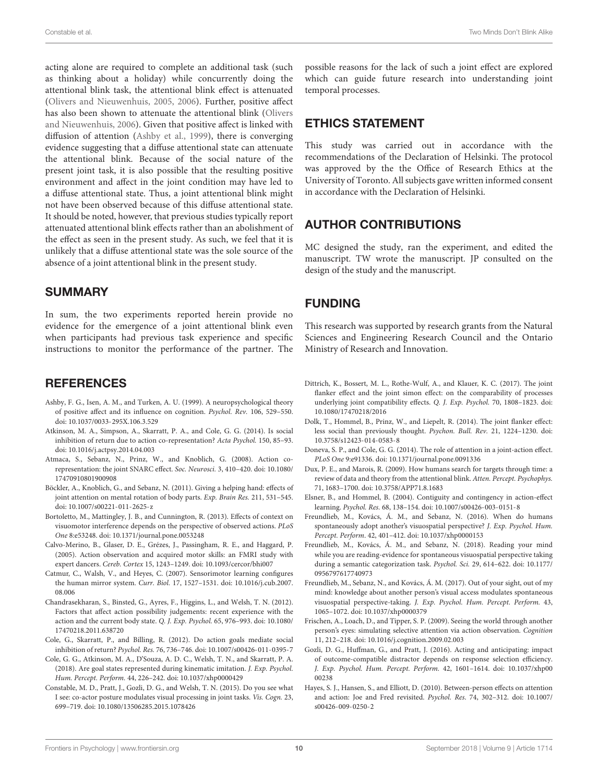acting alone are required to complete an additional task (such as thinking about a holiday) while concurrently doing the attentional blink task, the attentional blink effect is attenuated [\(Olivers and Nieuwenhuis,](#page-10-27) [2005,](#page-10-27) [2006\)](#page-10-28). Further, positive affect has also been shown to attenuate the attentional blink [\(Olivers](#page-10-28) [and Nieuwenhuis,](#page-10-28) [2006\)](#page-10-28). Given that positive affect is linked with diffusion of attention [\(Ashby et al.,](#page-9-21) [1999\)](#page-9-21), there is converging evidence suggesting that a diffuse attentional state can attenuate the attentional blink. Because of the social nature of the present joint task, it is also possible that the resulting positive environment and affect in the joint condition may have led to a diffuse attentional state. Thus, a joint attentional blink might not have been observed because of this diffuse attentional state. It should be noted, however, that previous studies typically report attenuated attentional blink effects rather than an abolishment of the effect as seen in the present study. As such, we feel that it is unlikely that a diffuse attentional state was the sole source of the absence of a joint attentional blink in the present study.

## SUMMARY

In sum, the two experiments reported herein provide no evidence for the emergence of a joint attentional blink even when participants had previous task experience and specific instructions to monitor the performance of the partner. The

## **REFERENCES**

- <span id="page-9-21"></span>Ashby, F. G., Isen, A. M., and Turken, A. U. (1999). A neuropsychological theory of positive affect and its influence on cognition. Psychol. Rev. 106, 529–550. [doi: 10.1037/0033-295X.106.3.529](https://doi.org/10.1037/0033-295X.106.3.529)
- <span id="page-9-6"></span>Atkinson, M. A., Simpson, A., Skarratt, P. A., and Cole, G. G. (2014). Is social inhibition of return due to action co-representation? Acta Psychol. 150, 85–93. [doi: 10.1016/j.actpsy.2014.04.003](https://doi.org/10.1016/j.actpsy.2014.04.003)
- <span id="page-9-0"></span>Atmaca, S., Sebanz, N., Prinz, W., and Knoblich, G. (2008). Action corepresentation: the joint SNARC effect. Soc. Neurosci. 3, 410–420. [doi: 10.1080/](https://doi.org/10.1080/17470910801900908) [17470910801900908](https://doi.org/10.1080/17470910801900908)
- <span id="page-9-14"></span>Böckler, A., Knoblich, G., and Sebanz, N. (2011). Giving a helping hand: effects of joint attention on mental rotation of body parts. Exp. Brain Res. 211, 531–545. [doi: 10.1007/s00221-011-2625-z](https://doi.org/10.1007/s00221-011-2625-z)
- <span id="page-9-20"></span>Bortoletto, M., Mattingley, J. B., and Cunnington, R. (2013). Effects of context on visuomotor interference depends on the perspective of observed actions. PLoS One 8:e53248. [doi: 10.1371/journal.pone.0053248](https://doi.org/10.1371/journal.pone.0053248)
- <span id="page-9-10"></span>Calvo-Merino, B., Glaser, D. E., Grézes, J., Passingham, R. E., and Haggard, P. (2005). Action observation and acquired motor skills: an FMRI study with expert dancers. Cereb. Cortex 15, 1243–1249. [doi: 10.1093/cercor/bhi007](https://doi.org/10.1093/cercor/bhi007)
- <span id="page-9-11"></span>Catmur, C., Walsh, V., and Heyes, C. (2007). Sensorimotor learning configures the human mirror system. Curr. Biol. 17, 1527–1531. [doi: 10.1016/j.cub.2007.](https://doi.org/10.1016/j.cub.2007.08.006) [08.006](https://doi.org/10.1016/j.cub.2007.08.006)
- <span id="page-9-9"></span>Chandrasekharan, S., Binsted, G., Ayres, F., Higgins, L., and Welsh, T. N. (2012). Factors that affect action possibility judgements: recent experience with the action and the current body state. Q. J. Exp. Psychol. 65, 976–993. [doi: 10.1080/](https://doi.org/10.1080/17470218.2011.638720) [17470218.2011.638720](https://doi.org/10.1080/17470218.2011.638720)
- <span id="page-9-3"></span>Cole, G., Skarratt, P., and Billing, R. (2012). Do action goals mediate social inhibition of return? Psychol. Res. 76, 736–746. [doi: 10.1007/s00426-011-0395-7](https://doi.org/10.1007/s00426-011-0395-7)
- <span id="page-9-4"></span>Cole, G. G., Atkinson, M. A., D'Souza, A. D. C., Welsh, T. N., and Skarratt, P. A. (2018). Are goal states represented during kinematic imitation. J. Exp. Psychol. Hum. Percept. Perform. 44, 226–242. [doi: 10.1037/xhp0000429](https://doi.org/10.1037/xhp0000429)
- <span id="page-9-1"></span>Constable, M. D., Pratt, J., Gozli, D. G., and Welsh, T. N. (2015). Do you see what I see: co-actor posture modulates visual processing in joint tasks. Vis. Cogn. 23, 699–719. [doi: 10.1080/13506285.2015.1078426](https://doi.org/10.1080/13506285.2015.1078426)

possible reasons for the lack of such a joint effect are explored which can guide future research into understanding joint temporal processes.

## ETHICS STATEMENT

This study was carried out in accordance with the recommendations of the Declaration of Helsinki. The protocol was approved by the the Office of Research Ethics at the University of Toronto. All subjects gave written informed consent in accordance with the Declaration of Helsinki.

# AUTHOR CONTRIBUTIONS

MC designed the study, ran the experiment, and edited the manuscript. TW wrote the manuscript. JP consulted on the design of the study and the manuscript.

# FUNDING

This research was supported by research grants from the Natural Sciences and Engineering Research Council and the Ontario Ministry of Research and Innovation.

- <span id="page-9-19"></span>Dittrich, K., Bossert, M. L., Rothe-Wulf, A., and Klauer, K. C. (2017). The joint flanker effect and the joint simon effect: on the comparability of processes underlying joint compatibility effects. Q. J. Exp. Psychol. 70, 1808–1823. [doi:](https://doi.org/10.1080/17470218/2016) [10.1080/17470218/2016](https://doi.org/10.1080/17470218/2016)
- <span id="page-9-18"></span>Dolk, T., Hommel, B., Prinz, W., and Liepelt, R. (2014). The joint flanker effect: less social than previously thought. Psychon. Bull. Rev. 21, 1224–1230. [doi:](https://doi.org/10.3758/s12423-014-0583-8) [10.3758/s12423-014-0583-8](https://doi.org/10.3758/s12423-014-0583-8)
- <span id="page-9-5"></span>Doneva, S. P., and Cole, G. G. (2014). The role of attention in a joint-action effect. PLoS One 9:e91336. [doi: 10.1371/journal.pone.0091336](https://doi.org/10.1371/journal.pone.0091336)
- <span id="page-9-8"></span>Dux, P. E., and Marois, R. (2009). How humans search for targets through time: a review of data and theory from the attentional blink. Atten. Percept. Psychophys. 71, 1683–1700. [doi: 10.3758/APP71.8.1683](https://doi.org/10.3758/APP71.8.1683)
- <span id="page-9-12"></span>Elsner, B., and Hommel, B. (2004). Contiguity and contingency in action-effect learning. Psychol. Res. 68, 138–154. [doi: 10.1007/s00426-003-0151-8](https://doi.org/10.1007/s00426-003-0151-8)
- <span id="page-9-15"></span>Freundlieb, M., Kovács, Á. M., and Sebanz, N. (2016). When do humans spontaneously adopt another's visuospatial perspective? J. Exp. Psychol. Hum. Percept. Perform. 42, 401–412. [doi: 10.1037/xhp0000153](https://doi.org/10.1037/xhp0000153)
- <span id="page-9-17"></span>Freundlieb, M., Kovács, Á. M., and Sebanz, N. (2018). Reading your mind while you are reading-evidence for spontaneous visuospatial perspective taking during a semantic categorization task. Psychol. Sci. 29, 614–622. [doi: 10.1177/](https://doi.org/10.1177/0956797617740973) [0956797617740973](https://doi.org/10.1177/0956797617740973)
- <span id="page-9-16"></span>Freundlieb, M., Sebanz, N., and Kovács, Á. M. (2017). Out of your sight, out of my mind: knowledge about another person's visual access modulates spontaneous visuospatial perspective-taking. J. Exp. Psychol. Hum. Percept. Perform. 43, 1065–1072. [doi: 10.1037/xhp0000379](https://doi.org/10.1037/xhp0000379)
- <span id="page-9-7"></span>Frischen, A., Loach, D., and Tipper, S. P. (2009). Seeing the world through another person's eyes: simulating selective attention via action observation. Cognition 11, 212–218. [doi: 10.1016/j.cognition.2009.02.003](https://doi.org/10.1016/j.cognition.2009.02.003)
- <span id="page-9-13"></span>Gozli, D. G., Huffman, G., and Pratt, J. (2016). Acting and anticipating: impact of outcome-compatible distractor depends on response selection efficiency. J. Exp. Psychol. Hum. Percept. Perform. 42, 1601–1614. [doi: 10.1037/xhp00](https://doi.org/10.1037/xhp0000238) [00238](https://doi.org/10.1037/xhp0000238)
- <span id="page-9-2"></span>Hayes, S. J., Hansen, S., and Elliott, D. (2010). Between-person effects on attention and action: Joe and Fred revisited. Psychol. Res. 74, 302–312. [doi: 10.1007/](https://doi.org/10.1007/s00426-009-0250-2) [s00426-009-0250-2](https://doi.org/10.1007/s00426-009-0250-2)